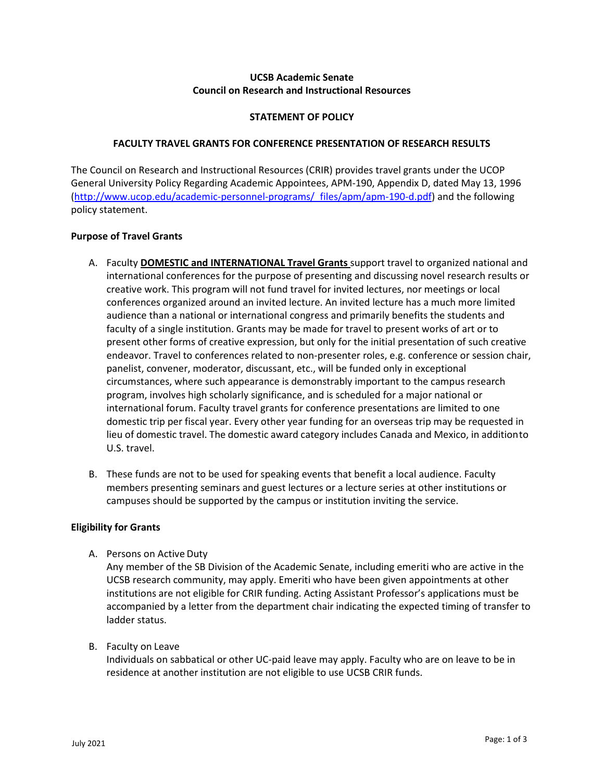# **UCSB Academic Senate Council on Research and Instructional Resources**

# **STATEMENT OF POLICY**

### **FACULTY TRAVEL GRANTS FOR CONFERENCE PRESENTATION OF RESEARCH RESULTS**

The Council on Research and Instructional Resources (CRIR) provides travel grants under the UCOP General University Policy Regarding Academic Appointees, APM-190, Appendix D, dated May 13, 1996 [\(http://www.ucop.edu/academic-personnel-programs/\\_files/apm/apm-190-d.pdf\)](http://www.ucop.edu/academic-personnel-programs/_files/apm/apm-190-d.pdf) and the following policy statement.

# **Purpose of Travel Grants**

- A. Faculty **DOMESTIC and INTERNATIONAL Travel Grants** support travel to organized national and international conferences for the purpose of presenting and discussing novel research results or creative work. This program will not fund travel for invited lectures, nor meetings or local conferences organized around an invited lecture. An invited lecture has a much more limited audience than a national or international congress and primarily benefits the students and faculty of a single institution. Grants may be made for travel to present works of art or to present other forms of creative expression, but only for the initial presentation of such creative endeavor. Travel to conferences related to non-presenter roles, e.g. conference or session chair, panelist, convener, moderator, discussant, etc., will be funded only in exceptional circumstances, where such appearance is demonstrably important to the campus research program, involves high scholarly significance, and is scheduled for a major national or international forum. Faculty travel grants for conference presentations are limited to one domestic trip per fiscal year. Every other year funding for an overseas trip may be requested in lieu of domestic travel. The domestic award category includes Canada and Mexico, in additionto U.S. travel.
- B. These funds are not to be used for speaking events that benefit a local audience. Faculty members presenting seminars and guest lectures or a lecture series at other institutions or campuses should be supported by the campus or institution inviting the service.

#### **Eligibility for Grants**

A. Persons on Active Duty

Any member of the SB Division of the Academic Senate, including emeriti who are active in the UCSB research community, may apply. Emeriti who have been given appointments at other institutions are not eligible for CRIR funding. Acting Assistant Professor's applications must be accompanied by a letter from the department chair indicating the expected timing of transfer to ladder status.

B. Faculty on Leave

Individuals on sabbatical or other UC-paid leave may apply. Faculty who are on leave to be in residence at another institution are not eligible to use UCSB CRIR funds.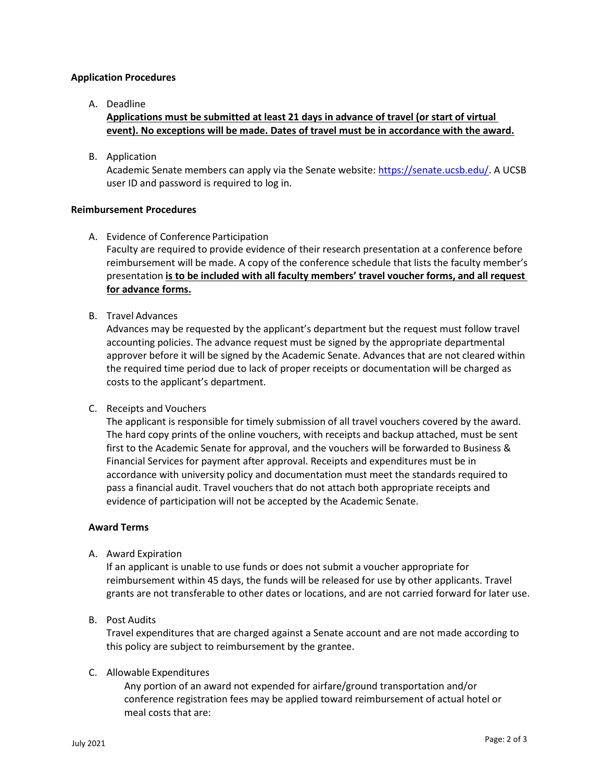# **Application Procedures**

A. Deadline

**Applications must be submitted at least 21 days in advance of travel (or start of virtual event). No exceptions will be made. Dates of travel must be in accordance with the award.**

B. Application

Academic Senate members can apply via the Senate website[: https://senate.ucsb.edu/.](https://senate.ucsb.edu/) A UCSB user ID and password is required to log in.

# **Reimbursement Procedures**

A. Evidence of Conference Participation

Faculty are required to provide evidence of their research presentation at a conference before reimbursement will be made. A copy of the conference schedule that lists the faculty member's presentation **is to be included with all faculty members' travel voucher forms, and all request for advance forms.**

B. Travel Advances

Advances may be requested by the applicant's department but the request must follow travel accounting policies. The advance request must be signed by the appropriate departmental approver before it will be signed by the Academic Senate. Advances that are not cleared within the required time period due to lack of proper receipts or documentation will be charged as costs to the applicant's department.

C. Receipts and Vouchers

The applicant is responsible for timely submission of all travel vouchers covered by the award. The hard copy prints of the online vouchers, with receipts and backup attached, must be sent first to the Academic Senate for approval, and the vouchers will be forwarded to Business & Financial Services for payment after approval. Receipts and expenditures must be in accordance with university policy and documentation must meet the standards required to pass a financial audit. Travel vouchers that do not attach both appropriate receipts and evidence of participation will not be accepted by the Academic Senate.

# **Award Terms**

A. Award Expiration

If an applicant is unable to use funds or does not submit a voucher appropriate for reimbursement within 45 days, the funds will be released for use by other applicants. Travel grants are not transferable to other dates or locations, and are not carried forward for later use.

B. Post Audits

Travel expenditures that are charged against a Senate account and are not made according to this policy are subject to reimbursement by the grantee.

#### C. Allowable Expenditures

Any portion of an award not expended for airfare/ground transportation and/or conference registration fees may be applied toward reimbursement of actual hotel or meal costs that are: